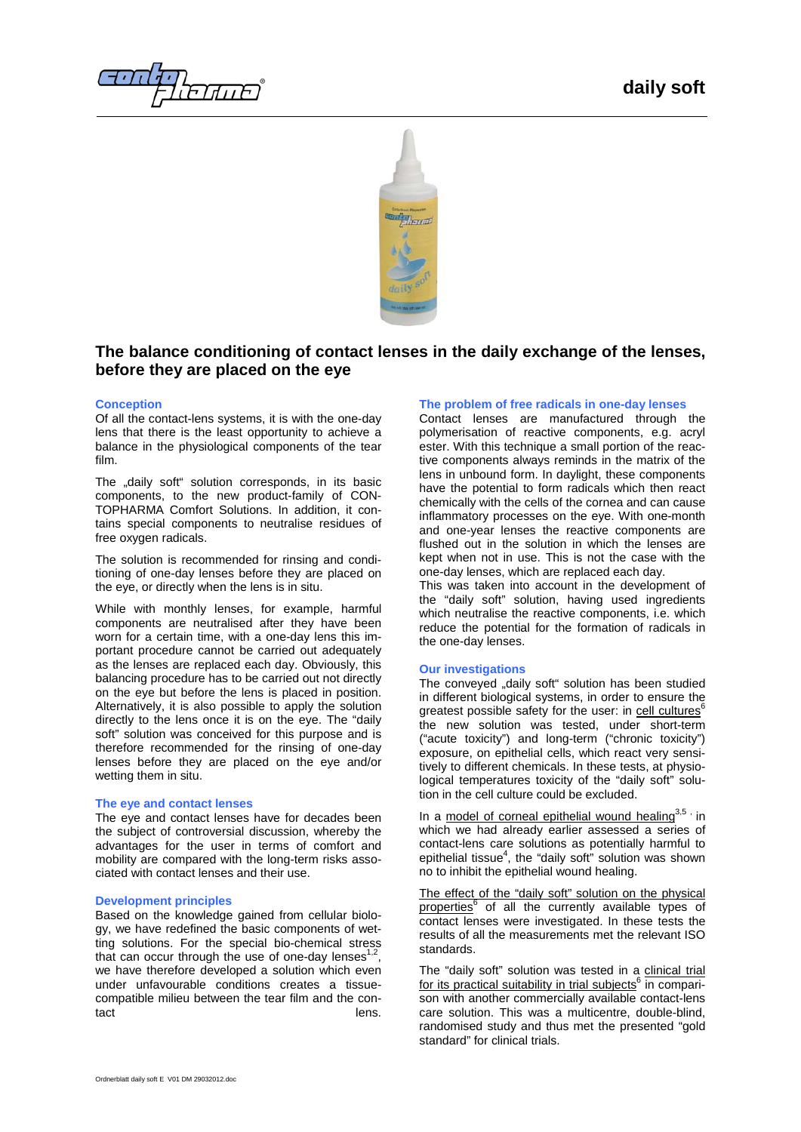ਜ*ਾਰਜਾ* ਜ



# **The balance conditioning of contact lenses in the daily exchange of the lenses, before they are placed on the eye**

# **Conception**

Of all the contact-lens systems, it is with the one-day lens that there is the least opportunity to achieve a balance in the physiological components of the tear film.

The "daily soft" solution corresponds, in its basic components, to the new product-family of CON-TOPHARMA Comfort Solutions. In addition, it contains special components to neutralise residues of free oxygen radicals.

The solution is recommended for rinsing and conditioning of one-day lenses before they are placed on the eye, or directly when the lens is in situ.

While with monthly lenses, for example, harmful components are neutralised after they have been worn for a certain time, with a one-day lens this important procedure cannot be carried out adequately as the lenses are replaced each day. Obviously, this balancing procedure has to be carried out not directly on the eye but before the lens is placed in position. Alternatively, it is also possible to apply the solution directly to the lens once it is on the eye. The "daily soft" solution was conceived for this purpose and is therefore recommended for the rinsing of one-day lenses before they are placed on the eye and/or wetting them in situ.

# **The eye and contact lenses**

The eye and contact lenses have for decades been the subject of controversial discussion, whereby the advantages for the user in terms of comfort and mobility are compared with the long-term risks associated with contact lenses and their use.

## **Development principles**

Based on the knowledge gained from cellular biology, we have redefined the basic components of wetting solutions. For the special bio-chemical stress that can occur through the use of one-day lenses we have therefore developed a solution which even under unfavourable conditions creates a tissuecompatible milieu between the tear film and the contact **lens.** 

# **The problem of free radicals in one-day lenses**

Contact lenses are manufactured through the polymerisation of reactive components, e.g. acryl ester. With this technique a small portion of the reactive components always reminds in the matrix of the lens in unbound form. In daylight, these components have the potential to form radicals which then react chemically with the cells of the cornea and can cause inflammatory processes on the eye. With one-month and one-year lenses the reactive components are flushed out in the solution in which the lenses are kept when not in use. This is not the case with the one-day lenses, which are replaced each day.

This was taken into account in the development of the "daily soft" solution, having used ingredients which neutralise the reactive components, i.e. which reduce the potential for the formation of radicals in the one-day lenses.

## **Our investigations**

The conveyed "daily soft" solution has been studied in different biological systems, in order to ensure the greatest possible safety for the user: in cell cultures<sup>6</sup> the new solution was tested, under short-term ("acute toxicity") and long-term ("chronic toxicity") exposure, on epithelial cells, which react very sensitively to different chemicals. In these tests, at physiological temperatures toxicity of the "daily soft" solution in the cell culture could be excluded.

In a model of corneal epithelial wound healing $3.5$ , in which we had already earlier assessed a series of contact-lens care solutions as potentially harmful to epithelial tissue $<sup>4</sup>$ , the "daily soft" solution was shown</sup> no to inhibit the epithelial wound healing.

The effect of the "daily soft" solution on the physical properties<sup>6</sup> of all the currently available types of contact lenses were investigated. In these tests the results of all the measurements met the relevant ISO standards.

The "daily soft" solution was tested in a clinical trial for its practical suitability in trial subjects<sup>6</sup> in comparison with another commercially available contact-lens care solution. This was a multicentre, double-blind, randomised study and thus met the presented "gold standard" for clinical trials.